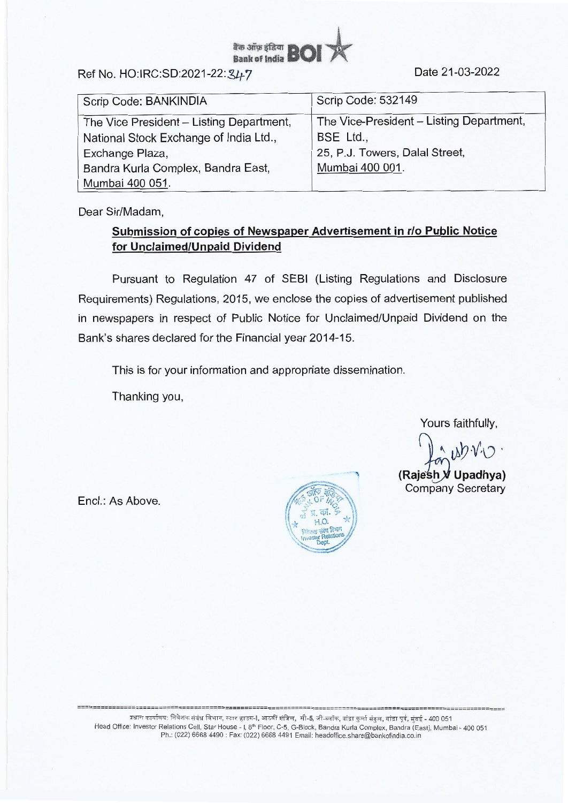

Ref No. HO:IRC:SD:2021-22: 347

| Scrip Code: BANKINDIA                    | Scrip Code: 532149                       |
|------------------------------------------|------------------------------------------|
| The Vice President - Listing Department, | The Vice-President - Listing Department, |
| National Stock Exchange of India Ltd.,   | BSE Ltd.,                                |
| Exchange Plaza,                          | 25, P.J. Towers, Dalal Street,           |
| Bandra Kurla Complex, Bandra East,       | Mumbai 400 001.                          |
| Mumbai 400 051.                          |                                          |

Dear Sir/Madam,

## **Submission of copies of Newspaper Advertisement in r/o Public Notice for Unclaimed/Unpaid Dividend**

Pursuant to Regulation 47 of SEBI (Listing Regulations and Disclosure Requirements) Regulations, 2015, we enclose the copies of advertisement published in newspapers in respect of Public Notice for Unclaimed/Unpaid Dividend on the Bank's shares declared for the Financial year 2014-15.

This is for your information and appropriate dissemination.

Thanking you,

Yours faithfully,

 $V$  $\cup$ 

**(Rajesh V Upadhya)** Company Secretary

Encl.: As Above.



प्रधान कार्यालय: निवेशक संबंध विभाग, स्टार हाउस-I, आठवीं मंजिल, सी-5, जी-ब्लॉक, बांद्रा कुर्ला संकुल, बांद्रा पूर्व, मुंबई - 400 051 Head Office: Investor Relations Cell, Star House - I, 8th Floor, C-5, G-Block, Bandra Kurla Complex, Bandra (East), Mumbai - 400 051 Ph.: (022) 6668 4490 : Fax: (022) 6668 4491 Email: headoffice.share@bankofindia.co.in